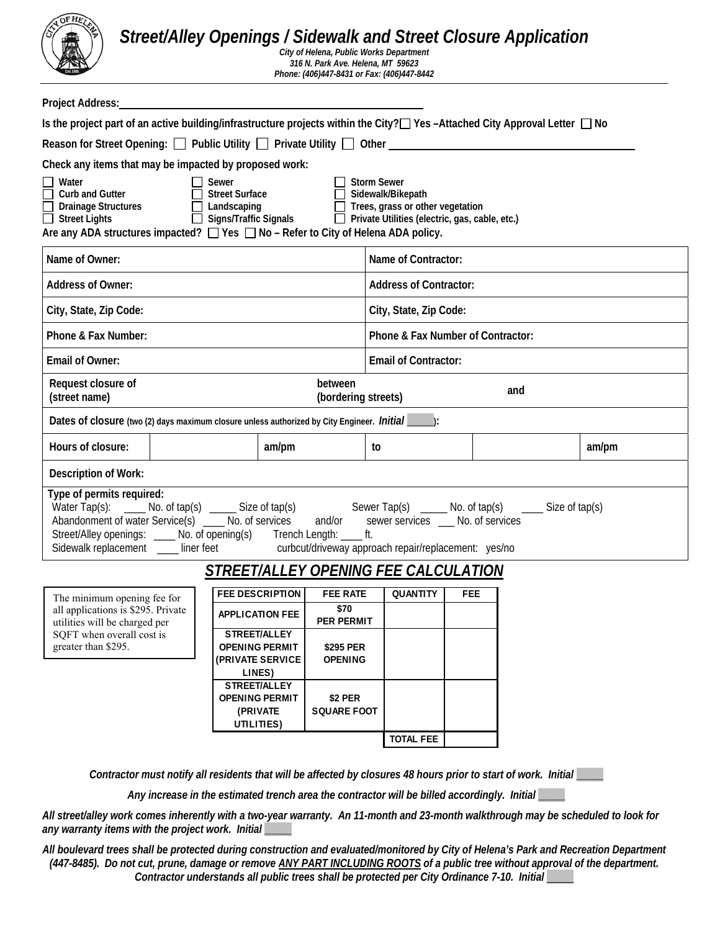

# *Street/Alley Openings / Sidewalk and Street Closure Application*

*City of Helena, Public Works Department 316 N. Park Ave. Helena, MT 59623 Phone: (406)447-8431 or Fax: (406)447-8442* 

| Is the project part of an active building/infrastructure projects within the City?□ Yes -Attached City Approval Letter □ No                                                                                                                                                                                                                                                      |                                                                                                                               |                                   |  |       |  |
|----------------------------------------------------------------------------------------------------------------------------------------------------------------------------------------------------------------------------------------------------------------------------------------------------------------------------------------------------------------------------------|-------------------------------------------------------------------------------------------------------------------------------|-----------------------------------|--|-------|--|
|                                                                                                                                                                                                                                                                                                                                                                                  |                                                                                                                               |                                   |  |       |  |
| Reason for Street Opening: $\Box$ Public Utility $\Box$ Private Utility $\Box$ Other $\Box$                                                                                                                                                                                                                                                                                      |                                                                                                                               |                                   |  |       |  |
| Check any items that may be impacted by proposed work:                                                                                                                                                                                                                                                                                                                           |                                                                                                                               |                                   |  |       |  |
| Water<br>Sewer<br>Е<br>Curb and Gutter<br><b>Street Surface</b><br>$\Box$<br><b>Drainage Structures</b><br>$\Box$ Landscaping<br>$\Box$ Signs/Traffic Signals<br>$\Box$ Street Lights<br>Are any ADA structures impacted? $\Box$ Yes $\Box$ No – Refer to City of Helena ADA policy.                                                                                             | <b>Storm Sewer</b><br>Sidewalk/Bikepath<br>Trees, grass or other vegetation<br>Private Utilities (electric, gas, cable, etc.) |                                   |  |       |  |
| Name of Owner:                                                                                                                                                                                                                                                                                                                                                                   |                                                                                                                               | Name of Contractor:               |  |       |  |
| <b>Address of Owner:</b>                                                                                                                                                                                                                                                                                                                                                         |                                                                                                                               | <b>Address of Contractor:</b>     |  |       |  |
| City, State, Zip Code:                                                                                                                                                                                                                                                                                                                                                           |                                                                                                                               | City, State, Zip Code:            |  |       |  |
| Phone & Fax Number:                                                                                                                                                                                                                                                                                                                                                              |                                                                                                                               | Phone & Fax Number of Contractor: |  |       |  |
| Email of Owner:                                                                                                                                                                                                                                                                                                                                                                  |                                                                                                                               | <b>Email of Contractor:</b>       |  |       |  |
| Request closure of<br>between<br>and<br>(street name)<br>(bordering streets)                                                                                                                                                                                                                                                                                                     |                                                                                                                               |                                   |  |       |  |
| Dates of closure (two (2) days maximum closure unless authorized by City Engineer. <i>Initial</i> ______.):                                                                                                                                                                                                                                                                      |                                                                                                                               |                                   |  |       |  |
| Hours of closure:<br>am/pm                                                                                                                                                                                                                                                                                                                                                       | to                                                                                                                            |                                   |  | am/pm |  |
| <b>Description of Work:</b>                                                                                                                                                                                                                                                                                                                                                      |                                                                                                                               |                                   |  |       |  |
| Type of permits required:<br>Water Tap(s): _____ No. of tap(s) _____ Size of tap(s) Sewer Tap(s) _____ No. of tap(s) ____ Size of tap(s)<br>Abandonment of water Service(s) __ No. of services<br>Abandonment of water Service(s) ____ No. of services and/or se<br>Street/Alley openings: ____ No. of opening(s) Trench Length: ____ ft.<br>Sidewalk replacement ___ liner feet | sewer services __ No. of services<br>curbcut/driveway approach repair/replacement: yes/no                                     |                                   |  |       |  |
| STREET/ALLEY OPENING FEE CALCULATION                                                                                                                                                                                                                                                                                                                                             |                                                                                                                               |                                   |  |       |  |
| <b>FEE DESCRIPTION</b><br><b>FEE RATE</b><br>The minimum opening fee for                                                                                                                                                                                                                                                                                                         | <b>QUANTITY</b>                                                                                                               | FEE                               |  |       |  |
| \$70<br>all applications is \$295. Private<br><b>APPLICATION FEE</b><br>PER PERMIT<br>utilities will be charged per                                                                                                                                                                                                                                                              |                                                                                                                               |                                   |  |       |  |
| STREET/ALLEY<br>SQFT when overall cost is<br>greater than \$295.<br><b>OPENING PERMIT</b><br>\$295 PER<br>(PRIVATE SERVICE<br><b>OPENING</b><br>LINES)                                                                                                                                                                                                                           |                                                                                                                               |                                   |  |       |  |
| STREET/ALLEY<br><b>OPENING PERMIT</b><br>\$2 PER<br>(PRIVATE<br>SQUARE FOOT<br>UTILITIES)                                                                                                                                                                                                                                                                                        |                                                                                                                               |                                   |  |       |  |
|                                                                                                                                                                                                                                                                                                                                                                                  | <b>TOTAL FEE</b>                                                                                                              |                                   |  |       |  |

*Contractor must notify all residents that will be affected by closures 48 hours prior to start of work. Initial* **\_\_\_\_\_**

*Any increase in the estimated trench area the contractor will be billed accordingly. Initial* **\_\_\_\_\_**

*All street/alley work comes inherently with a two-year warranty. An 11-month and 23-month walkthrough may be scheduled to look for any warranty items with the project work. Initial* **\_\_\_\_\_**

*All boulevard trees shall be protected during construction and evaluated/monitored by City of Helena's Park and Recreation Department (447-8485). Do not cut, prune, damage or remove ANY PART INCLUDING ROOTS of a public tree without approval of the department. Contractor understands all public trees shall be protected per City Ordinance 7-10. Initial* \_\_\_\_\_